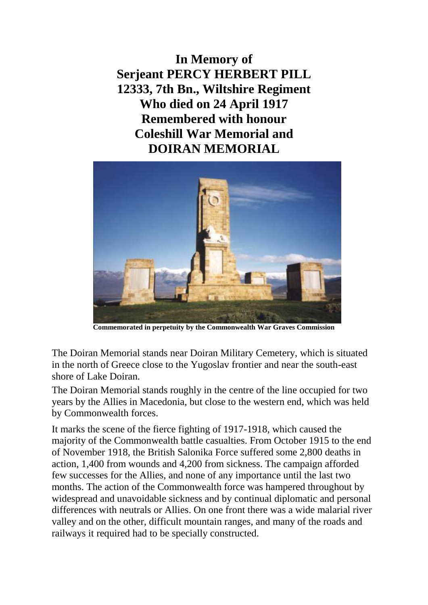**In Memory of Serjeant PERCY HERBERT PILL 12333, 7th Bn., Wiltshire Regiment Who died on 24 April 1917 Remembered with honour Coleshill War Memorial and DOIRAN MEMORIAL**



**Commemorated in perpetuity by the Commonwealth War Graves Commission** 

The Doiran Memorial stands near Doiran Military Cemetery, which is situated in the north of Greece close to the Yugoslav frontier and near the south-east shore of Lake Doiran.

The Doiran Memorial stands roughly in the centre of the line occupied for two years by the Allies in Macedonia, but close to the western end, which was held by Commonwealth forces.

It marks the scene of the fierce fighting of 1917-1918, which caused the majority of the Commonwealth battle casualties. From October 1915 to the end of November 1918, the British Salonika Force suffered some 2,800 deaths in action, 1,400 from wounds and 4,200 from sickness. The campaign afforded few successes for the Allies, and none of any importance until the last two months. The action of the Commonwealth force was hampered throughout by widespread and unavoidable sickness and by continual diplomatic and personal differences with neutrals or Allies. On one front there was a wide malarial river valley and on the other, difficult mountain ranges, and many of the roads and railways it required had to be specially constructed.